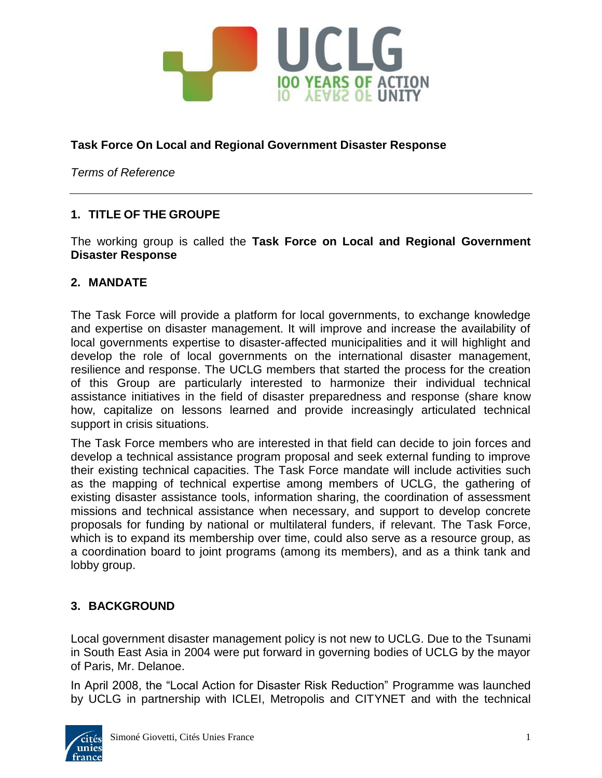

#### **Task Force On Local and Regional Government Disaster Response**

*Terms of Reference*

### **1. TITLE OF THE GROUPE**

The working group is called the **Task Force on Local and Regional Government Disaster Response**

#### **2. MANDATE**

The Task Force will provide a platform for local governments, to exchange knowledge and expertise on disaster management. It will improve and increase the availability of local governments expertise to disaster-affected municipalities and it will highlight and develop the role of local governments on the international disaster management, resilience and response. The UCLG members that started the process for the creation of this Group are particularly interested to harmonize their individual technical assistance initiatives in the field of disaster preparedness and response (share know how, capitalize on lessons learned and provide increasingly articulated technical support in crisis situations.

The Task Force members who are interested in that field can decide to join forces and develop a technical assistance program proposal and seek external funding to improve their existing technical capacities. The Task Force mandate will include activities such as the mapping of technical expertise among members of UCLG, the gathering of existing disaster assistance tools, information sharing, the coordination of assessment missions and technical assistance when necessary, and support to develop concrete proposals for funding by national or multilateral funders, if relevant. The Task Force, which is to expand its membership over time, could also serve as a resource group, as a coordination board to joint programs (among its members), and as a think tank and lobby group.

#### **3. BACKGROUND**

Local government disaster management policy is not new to UCLG. Due to the Tsunami in South East Asia in 2004 were put forward in governing bodies of UCLG by the mayor of Paris, Mr. Delanoe.

In April 2008, the "Local Action for Disaster Risk Reduction" Programme was launched by UCLG in partnership with ICLEI, Metropolis and CITYNET and with the technical

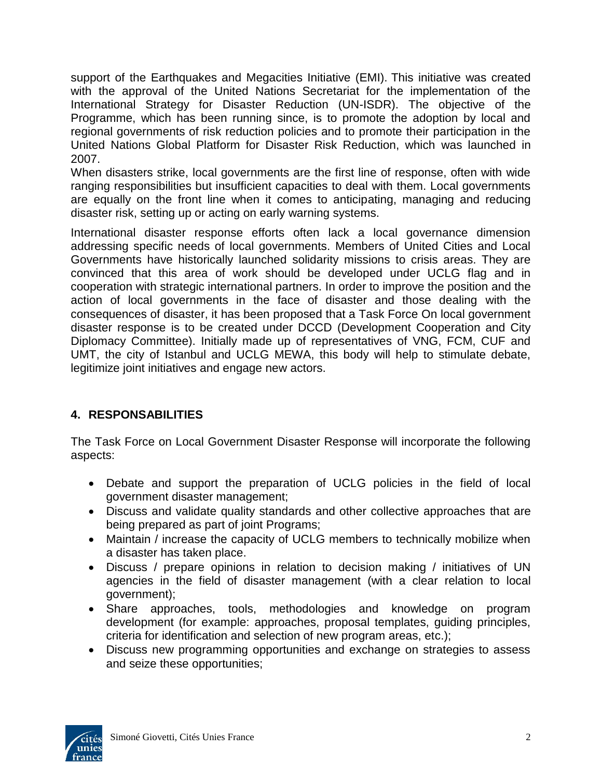support of the Earthquakes and Megacities Initiative (EMI). This initiative was created with the approval of the United Nations Secretariat for the implementation of the International Strategy for Disaster Reduction (UN-ISDR). The objective of the Programme, which has been running since, is to promote the adoption by local and regional governments of risk reduction policies and to promote their participation in the United Nations Global Platform for Disaster Risk Reduction, which was launched in 2007.

When disasters strike, local governments are the first line of response, often with wide ranging responsibilities but insufficient capacities to deal with them. Local governments are equally on the front line when it comes to anticipating, managing and reducing disaster risk, setting up or acting on early warning systems.

International disaster response efforts often lack a local governance dimension addressing specific needs of local governments. Members of United Cities and Local Governments have historically launched solidarity missions to crisis areas. They are convinced that this area of work should be developed under UCLG flag and in cooperation with strategic international partners. In order to improve the position and the action of local governments in the face of disaster and those dealing with the consequences of disaster, it has been proposed that a Task Force On local government disaster response is to be created under DCCD (Development Cooperation and City Diplomacy Committee). Initially made up of representatives of VNG, FCM, CUF and UMT, the city of Istanbul and UCLG MEWA, this body will help to stimulate debate, legitimize joint initiatives and engage new actors.

# **4. RESPONSABILITIES**

The Task Force on Local Government Disaster Response will incorporate the following aspects:

- Debate and support the preparation of UCLG policies in the field of local government disaster management;
- Discuss and validate quality standards and other collective approaches that are being prepared as part of joint Programs;
- Maintain / increase the capacity of UCLG members to technically mobilize when a disaster has taken place.
- Discuss / prepare opinions in relation to decision making / initiatives of UN agencies in the field of disaster management (with a clear relation to local government);
- Share approaches, tools, methodologies and knowledge on program development (for example: approaches, proposal templates, guiding principles, criteria for identification and selection of new program areas, etc.);
- Discuss new programming opportunities and exchange on strategies to assess and seize these opportunities;